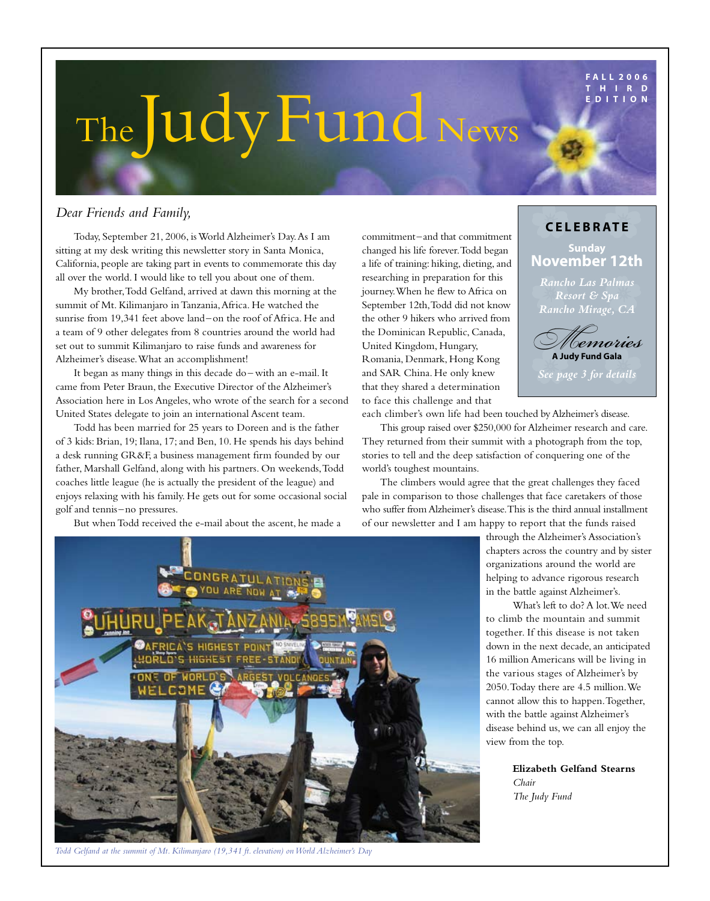**F A L L 2 0 0 6 T H I R D E D I T I O N**

## *A newsletter published exclusively for our friends and supporters* The Judy Fund News

#### *Dear Friends and Family,*

Today, September 21, 2006, is World Alzheimer's Day. As I am sitting at my desk writing this newsletter story in Santa Monica, California, people are taking part in events to commemorate this day all over the world. I would like to tell you about one of them.

My brother, Todd Gelfand, arrived at dawn this morning at the summit of Mt. Kilimanjaro in Tanzania, Africa. He watched the sunrise from 19,341 feet above land–on the roof of Africa. He and a team of 9 other delegates from 8 countries around the world had set out to summit Kilimanjaro to raise funds and awareness for Alzheimer's disease. What an accomplishment!

It began as many things in this decade do– with an e-mail. It came from Peter Braun, the Executive Director of the Alzheimer's Association here in Los Angeles, who wrote of the search for a second United States delegate to join an international Ascent team.

Todd has been married for 25 years to Doreen and is the father of 3 kids: Brian, 19; Ilana, 17; and Ben, 10. He spends his days behind a desk running GR&F, a business management firm founded by our father, Marshall Gelfand, along with his partners. On weekends, Todd coaches little league (he is actually the president of the league) and enjoys relaxing with his family. He gets out for some occasional social golf and tennis–no pressures.

commitment–and that commitment changed his life forever. Todd began a life of training: hiking, dieting, and researching in preparation for this journey. When he flew to Africa on September 12th, Todd did not know the other 9 hikers who arrived from the Dominican Republic, Canada, United Kingdom, Hungary, Romania, Denmark, Hong Kong and SAR China. He only knew that they shared a determination to face this challenge and that

**c ele b rate Sunday November 12th**

*Rancho Las Palmas Resort & Spa Rancho Mirage, CA*



*See page 3 for details*

each climber's own life had been touched by Alzheimer's disease.

This group raised over \$250,000 for Alzheimer research and care. They returned from their summit with a photograph from the top, stories to tell and the deep satisfaction of conquering one of the world's toughest mountains.

The climbers would agree that the great challenges they faced pale in comparison to those challenges that face caretakers of those who suffer from Alzheimer's disease. This is the third annual installment of our newsletter and I am happy to report that the funds raised



 What's left to do? A lot. We need to climb the mountain and summit together. If this disease is not taken down in the next decade, an anticipated 16 million Americans will be living in the various stages of Alzheimer's by 2050. Today there are 4.5 million. We cannot allow this to happen. Together, with the battle against Alzheimer's disease behind us, we can all enjoy the view from the top.

> **Elizabeth Gelfand Stearns**  *Chair The Judy Fund*



*Todd Gelfand at the summit of Mt. Kilimanjaro (19,341 ft. elevation) onWorld Alzheimer's Day*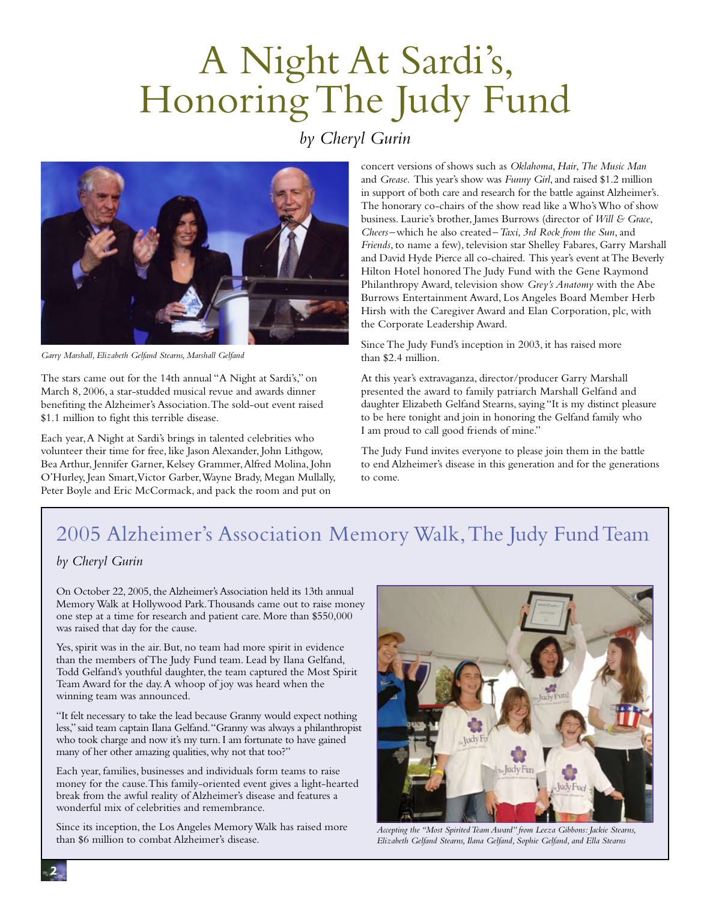## A Night At Sardi's, Honoring The Judy Fund

#### *by Cheryl Gurin*



*Garry Marshall, Elizabeth Gelfand Stearns, Marshall Gelfand*

The stars came out for the 14th annual "A Night at Sardi's," on March 8, 2006, a star-studded musical revue and awards dinner benefiting the Alzheimer's Association. The sold-out event raised \$1.1 million to fight this terrible disease.

Each year, A Night at Sardi's brings in talented celebrities who volunteer their time for free, like Jason Alexander, John Lithgow, Bea Arthur, Jennifer Garner, Kelsey Grammer, Alfred Molina, John O'Hurley, Jean Smart, Victor Garber, Wayne Brady, Megan Mullally, Peter Boyle and Eric McCormack, and pack the room and put on

concert versions of shows such as *Oklahoma*, *Hair*, *The Music Man* and *Grease*. This year's show was *Funny Girl*, and raised \$1.2 million in support of both care and research for the battle against Alzheimer's. The honorary co-chairs of the show read like a Who's Who of show business. Laurie's brother, James Burrows (director of *Will & Grace*, *Cheers*–which he also created–*Taxi*, *3rd Rock from the Sun*, and *Friends*, to name a few), television star Shelley Fabares, Garry Marshall and David Hyde Pierce all co-chaired. This year's event at The Beverly Hilton Hotel honored The Judy Fund with the Gene Raymond Philanthropy Award, television show *Grey's Anatomy* with the Abe Burrows Entertainment Award, Los Angeles Board Member Herb Hirsh with the Caregiver Award and Elan Corporation, plc, with the Corporate Leadership Award.

Since The Judy Fund's inception in 2003, it has raised more than \$2.4 million.

At this year's extravaganza, director/producer Garry Marshall presented the award to family patriarch Marshall Gelfand and daughter Elizabeth Gelfand Stearns, saying "It is my distinct pleasure to be here tonight and join in honoring the Gelfand family who I am proud to call good friends of mine."

The Judy Fund invites everyone to please join them in the battle to end Alzheimer's disease in this generation and for the generations to come.

## 2005 Alzheimer's Association Memory Walk, The Judy Fund Team

#### *by Cheryl Gurin*

On October 22, 2005, the Alzheimer's Association held its 13th annual Memory Walk at Hollywood Park. Thousands came out to raise money one step at a time for research and patient care. More than \$550,000 was raised that day for the cause.

Yes, spirit was in the air. But, no team had more spirit in evidence than the members of The Judy Fund team. Lead by Ilana Gelfand, Todd Gelfand's youthful daughter, the team captured the Most Spirit Team Award for the day. A whoop of joy was heard when the winning team was announced.

"It felt necessary to take the lead because Granny would expect nothing less," said team captain Ilana Gelfand. "Granny was always a philanthropist who took charge and now it's my turn. I am fortunate to have gained many of her other amazing qualities, why not that too?"

Each year, families, businesses and individuals form teams to raise money for the cause. This family-oriented event gives a light-hearted break from the awful reality of Alzheimer's disease and features a wonderful mix of celebrities and remembrance.

Since its inception, the Los Angeles Memory Walk has raised more than \$6 million to combat Alzheimer's disease.



*Accepting the "Most SpiritedTeam Award" from Leeza Gibbons: Jackie Stearns, Elizabeth Gelfand Stearns, Ilana Gelfand, Sophie Gelfand, and Ella Stearns*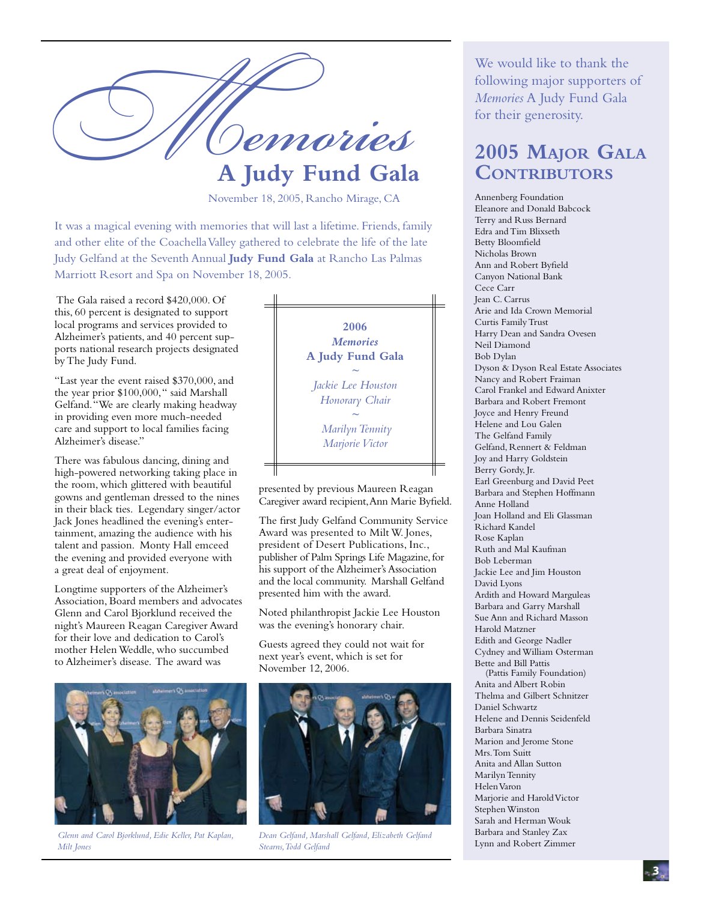

November 18, 2005, Rancho Mirage, CA

It was a magical evening with memories that will last a lifetime. Friends, family and other elite of the Coachella Valley gathered to celebrate the life of the late Judy Gelfand at the Seventh Annual **Judy Fund Gala** at Rancho Las Palmas Marriott Resort and Spa on November 18, 2005.

 The Gala raised a record \$420,000. Of this, 60 percent is designated to support local programs and services provided to Alzheimer's patients, and 40 percent supports national research projects designated by The Judy Fund.

"Last year the event raised \$370,000, and the year prior \$100,000, " said Marshall Gelfand. "We are clearly making headway in providing even more much-needed care and support to local families facing Alzheimer's disease."

There was fabulous dancing, dining and high-powered networking taking place in the room, which glittered with beautiful gowns and gentleman dressed to the nines in their black ties. Legendary singer/actor Jack Jones headlined the evening's entertainment, amazing the audience with his talent and passion. Monty Hall emceed the evening and provided everyone with a great deal of enjoyment.

Longtime supporters of the Alzheimer's Association, Board members and advocates Glenn and Carol Bjorklund received the night's Maureen Reagan Caregiver Award for their love and dedication to Carol's mother Helen Weddle, who succumbed to Alzheimer's disease. The award was



*Glenn and Carol Bjorklund, Edie Keller, Pat Kaplan, Milt Jones*



presented by previous Maureen Reagan Caregiver award recipient, Ann Marie Byfield.

The first Judy Gelfand Community Service Award was presented to Milt W. Jones, president of Desert Publications, Inc., publisher of Palm Springs Life Magazine, for his support of the Alzheimer's Association and the local community. Marshall Gelfand presented him with the award.

Noted philanthropist Jackie Lee Houston was the evening's honorary chair.

Guests agreed they could not wait for next year's event, which is set for November 12, 2006.



*Dean Gelfand, Marshall Gelfand, Elizabeth Gelfand Stearns,Todd Gelfand*

We would like to thank the following major supporters of *Memories* A Judy Fund Gala for their generosity.

### **2005 Major Gala Contributors**

Annenberg Foundation Eleanore and Donald Babcock Terry and Russ Bernard Edra and Tim Blixseth Betty Bloomfield Nicholas Brown Ann and Robert Byfield Canyon National Bank Cece Carr Jean C. Carrus Arie and Ida Crown Memorial Curtis Family Trust Harry Dean and Sandra Ovesen Neil Diamond Bob Dylan Dyson & Dyson Real Estate Associates Nancy and Robert Fraiman Carol Frankel and Edward Anixter Barbara and Robert Fremont Joyce and Henry Freund Helene and Lou Galen The Gelfand Family Gelfand, Rennert & Feldman Joy and Harry Goldstein Berry Gordy, Jr. Earl Greenburg and David Peet Barbara and Stephen Hoffmann Anne Holland Joan Holland and Eli Glassman Richard Kandel Rose Kaplan Ruth and Mal Kaufman Bob Leberman Jackie Lee and Jim Houston David Lyons Ardith and Howard Marguleas Barbara and Garry Marshall Sue Ann and Richard Masson Harold Matzner Edith and George Nadler Cydney and William Osterman Bette and Bill Pattis (Pattis Family Foundation) Anita and Albert Robin Thelma and Gilbert Schnitzer Daniel Schwartz Helene and Dennis Seidenfeld Barbara Sinatra Marion and Jerome Stone Mrs. Tom Suitt Anita and Allan Sutton Marilyn Tennity Helen Varon Marjorie and Harold Victor Stephen Winston Sarah and Herman Wouk Barbara and Stanley Zax Lynn and Robert Zimmer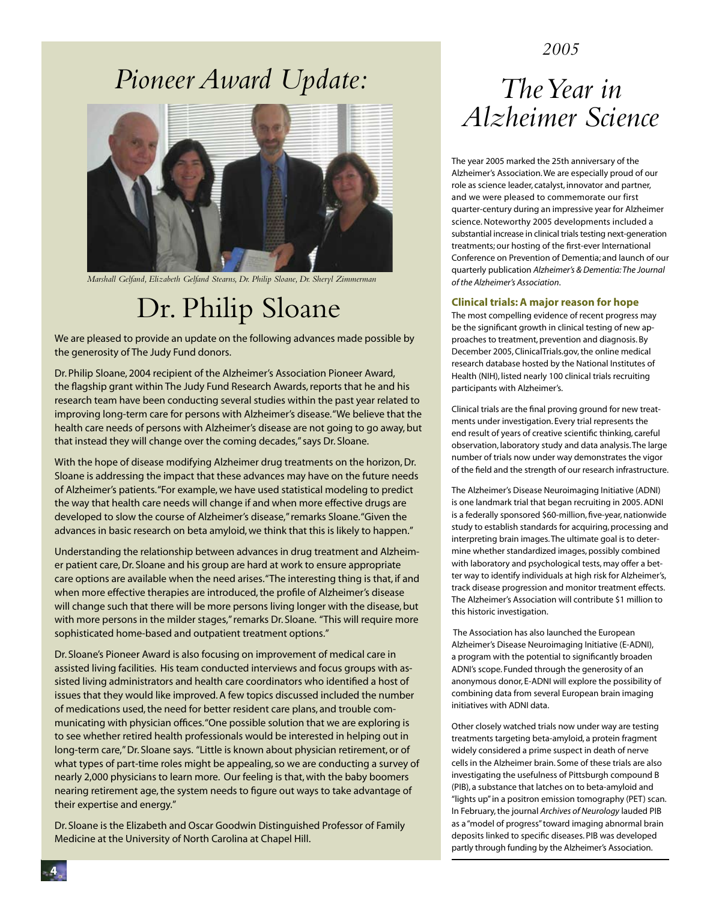#### *2005*

### *Pioneer Award Update:*



*Marshall Gelfand, Elizabeth Gelfand Stearns, Dr. Philip Sloane, Dr. Sheryl Zimmerman*

### Dr. Philip Sloane

We are pleased to provide an update on the following advances made possible by the generosity of The Judy Fund donors.

Dr. Philip Sloane, 2004 recipient of the Alzheimer's Association Pioneer Award, the flagship grant within The Judy Fund Research Awards, reports that he and his research team have been conducting several studies within the past year related to improving long-term care for persons with Alzheimer's disease. "We believe that the health care needs of persons with Alzheimer's disease are not going to go away, but that instead they will change over the coming decades," says Dr. Sloane.

With the hope of disease modifying Alzheimer drug treatments on the horizon, Dr. Sloane is addressing the impact that these advances may have on the future needs of Alzheimer's patients. "For example, we have used statistical modeling to predict the way that health care needs will change if and when more effective drugs are developed to slow the course of Alzheimer's disease," remarks Sloane. "Given the advances in basic research on beta amyloid, we think that this is likely to happen."

Understanding the relationship between advances in drug treatment and Alzheimer patient care, Dr. Sloane and his group are hard at work to ensure appropriate care options are available when the need arises. "The interesting thing is that, if and when more effective therapies are introduced, the profile of Alzheimer's disease will change such that there will be more persons living longer with the disease, but with more persons in the milder stages," remarks Dr. Sloane. "This will require more sophisticated home-based and outpatient treatment options."

Dr. Sloane's Pioneer Award is also focusing on improvement of medical care in assisted living facilities. His team conducted interviews and focus groups with assisted living administrators and health care coordinators who identified a host of issues that they would like improved. A few topics discussed included the number of medications used, the need for better resident care plans, and trouble communicating with physician offices. "One possible solution that we are exploring is to see whether retired health professionals would be interested in helping out in long-term care," Dr. Sloane says. "Little is known about physician retirement, or of what types of part-time roles might be appealing, so we are conducting a survey of nearly 2,000 physicians to learn more. Our feeling is that, with the baby boomers nearing retirement age, the system needs to figure out ways to take advantage of their expertise and energy."

Dr. Sloane is the Elizabeth and Oscar Goodwin Distinguished Professor of Family Medicine at the University of North Carolina at Chapel Hill.

### *TheYear in Alzheimer Science*

The year 2005 marked the 25th anniversary of the Alzheimer's Association. We are especially proud of our role as science leader, catalyst, innovator and partner, and we were pleased to commemorate our first quarter-century during an impressive year for Alzheimer science. Noteworthy 2005 developments included a substantial increase in clinical trials testing next-generation treatments; our hosting of the first-ever International Conference on Prevention of Dementia; and launch of our quarterly publication *Alzheimer's & Dementia: The Journal of the Alzheimer's Association*.

#### **Clinical trials:A major reason for hope**

The most compelling evidence of recent progress may be the significant growth in clinical testing of new approaches to treatment, prevention and diagnosis. By December 2005, ClinicalTrials.gov, the online medical research database hosted by the National Institutes of Health (NIH), listed nearly 100 clinical trials recruiting participants with Alzheimer's.

Clinical trials are the final proving ground for new treatments under investigation. Every trial represents the end result of years of creative scientific thinking, careful observation, laboratory study and data analysis. The large number of trials now under way demonstrates the vigor of the field and the strength of our research infrastructure.

The Alzheimer's Disease Neuroimaging Initiative (ADNI) is one landmark trial that began recruiting in 2005. ADNI is a federally sponsored \$60-million, five-year, nationwide study to establish standards for acquiring, processing and interpreting brain images. The ultimate goal is to determine whether standardized images, possibly combined with laboratory and psychological tests, may offer a better way to identify individuals at high risk for Alzheimer's, track disease progression and monitor treatment effects. The Alzheimer's Association will contribute \$1 million to this historic investigation.

 The Association has also launched the European Alzheimer's Disease Neuroimaging Initiative (E-ADNI), a program with the potential to significantly broaden ADNI's scope. Funded through the generosity of an anonymous donor, E-ADNI will explore the possibility of combining data from several European brain imaging initiatives with ADNI data.

Other closely watched trials now under way are testing treatments targeting beta-amyloid, a protein fragment widely considered a prime suspect in death of nerve cells in the Alzheimer brain. Some of these trials are also investigating the usefulness of Pittsburgh compound B (PIB), a substance that latches on to beta-amyloid and "lights up" in a positron emission tomography (PET) scan. In February, the journal *Archives of Neurology* lauded PIB as a "model of progress" toward imaging abnormal brain deposits linked to specific diseases. PIB was developed partly through funding by the Alzheimer's Association.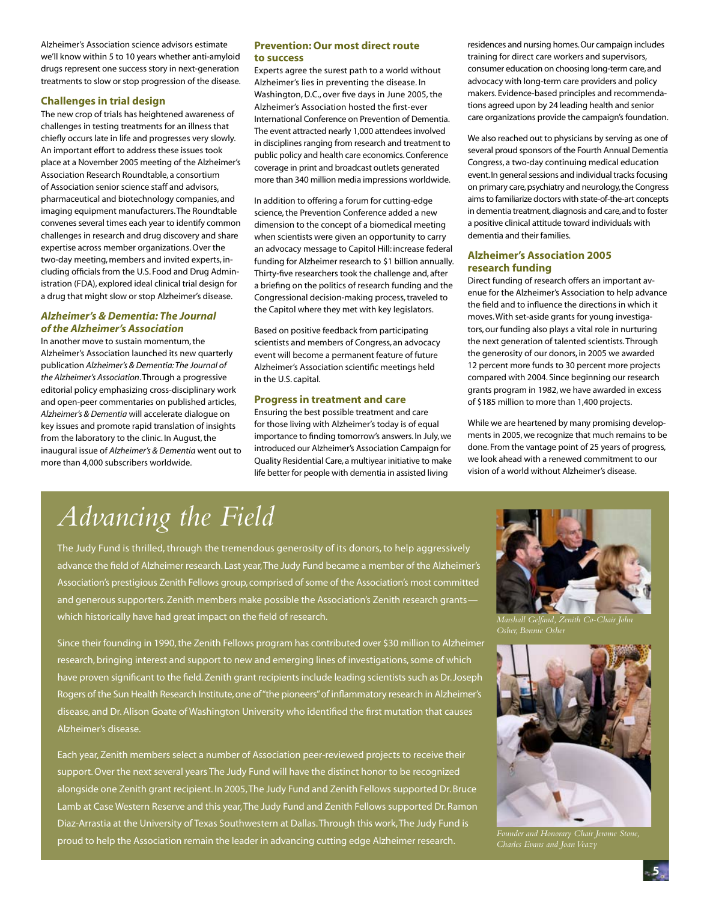Alzheimer's Association science advisors estimate we'll know within 5 to 10 years whether anti-amyloid drugs represent one success story in next-generation treatments to slow or stop progression of the disease.

#### **Challenges in trial design**

The new crop of trials has heightened awareness of challenges in testing treatments for an illness that chiefly occurs late in life and progresses very slowly. An important effort to address these issues took place at a November 2005 meeting of the Alzheimer's Association Research Roundtable, a consortium of Association senior science staff and advisors, pharmaceutical and biotechnology companies, and imaging equipment manufacturers. The Roundtable convenes several times each year to identify common challenges in research and drug discovery and share expertise across member organizations. Over the two-day meeting, members and invited experts, including officials from the U.S. Food and Drug Administration (FDA), explored ideal clinical trial design for a drug that might slow or stop Alzheimer's disease.

#### *Alzheimer's & Dementia: The Journal of the Alzheimer's Association*

In another move to sustain momentum, the Alzheimer's Association launched its new quarterly publication *Alzheimer's & Dementia: The Journal of the Alzheimer's Association*. Through a progressive editorial policy emphasizing cross-disciplinary work and open-peer commentaries on published articles, *Alzheimer's & Dementia* will accelerate dialogue on key issues and promote rapid translation of insights from the laboratory to the clinic. In August, the inaugural issue of *Alzheimer's & Dementia* went out to more than 4,000 subscribers worldwide.

#### **Prevention: Our most direct route to success**

Experts agree the surest path to a world without Alzheimer's lies in preventing the disease. In Washington, D.C., over five days in June 2005, the Alzheimer's Association hosted the first-ever International Conference on Prevention of Dementia. The event attracted nearly 1,000 attendees involved in disciplines ranging from research and treatment to public policy and health care economics. Conference coverage in print and broadcast outlets generated more than 340 million media impressions worldwide.

In addition to offering a forum for cutting-edge science, the Prevention Conference added a new dimension to the concept of a biomedical meeting when scientists were given an opportunity to carry an advocacy message to Capitol Hill: increase federal funding for Alzheimer research to \$1 billion annually. Thirty-five researchers took the challenge and, after a briefing on the politics of research funding and the Congressional decision-making process, traveled to the Capitol where they met with key legislators.

Based on positive feedback from participating scientists and members of Congress, an advocacy event will become a permanent feature of future Alzheimer's Association scientific meetings held in the U.S. capital.

#### **Progress in treatment and care**

Ensuring the best possible treatment and care for those living with Alzheimer's today is of equal importance to finding tomorrow's answers. In July, we introduced our Alzheimer's Association Campaign for Quality Residential Care, a multiyear initiative to make life better for people with dementia in assisted living

residences and nursing homes. Our campaign includes training for direct care workers and supervisors, consumer education on choosing long-term care, and advocacy with long-term care providers and policy makers. Evidence-based principles and recommendations agreed upon by 24 leading health and senior care organizations provide the campaign's foundation.

We also reached out to physicians by serving as one of several proud sponsors of the Fourth Annual Dementia Congress, a two-day continuing medical education event. In general sessions and individual tracks focusing on primary care, psychiatry and neurology, the Congress aims to familiarize doctors with state-of-the-art concepts in dementia treatment, diagnosis and care, and to foster a positive clinical attitude toward individuals with dementia and their families.

#### **Alzheimer's Association 2005 research funding**

Direct funding of research offers an important avenue for the Alzheimer's Association to help advance the field and to influence the directions in which it moves. With set-aside grants for young investigators, our funding also plays a vital role in nurturing the next generation of talented scientists. Through the generosity of our donors, in 2005 we awarded 12 percent more funds to 30 percent more projects compared with 2004. Since beginning our research grants program in 1982, we have awarded in excess of \$185 million to more than 1,400 projects.

While we are heartened by many promising developments in 2005, we recognize that much remains to be done. From the vantage point of 25 years of progress, we look ahead with a renewed commitment to our vision of a world without Alzheimer's disease.

## *Advancing the Field*

The Judy Fund is thrilled, through the tremendous generosity of its donors, to help aggressively advance the field of Alzheimer research. Last year, The Judy Fund became a member of the Alzheimer's Association's prestigious Zenith Fellows group, comprised of some of the Association's most committed and generous supporters. Zenith members make possible the Association's Zenith research grants which historically have had great impact on the field of research.

Since their founding in 1990, the Zenith Fellows program has contributed over \$30 million to Alzheimer research, bringing interest and support to new and emerging lines of investigations, some of which have proven significant to the field. Zenith grant recipients include leading scientists such as Dr. Joseph Rogers of the Sun Health Research Institute, one of "the pioneers" of inflammatory research in Alzheimer's disease, and Dr. Alison Goate of Washington University who identified the first mutation that causes Alzheimer's disease.

Each year, Zenith members select a number of Association peer-reviewed projects to receive their support. Over the next several years The Judy Fund will have the distinct honor to be recognized alongside one Zenith grant recipient. In 2005, The Judy Fund and Zenith Fellows supported Dr. Bruce Lamb at Case Western Reserve and this year, The Judy Fund and Zenith Fellows supported Dr. Ramon Diaz-Arrastia at the University of Texas Southwestern at Dallas. Through this work, The Judy Fund is proud to help the Association remain the leader in advancing cutting edge Alzheimer research.

*Marshall Gelfand, Zenith Co-Chair John Osher, Bonnie Osher*



*Founder and Honorary Chair Jerome Stone, Charles Evans and JoanVeazy*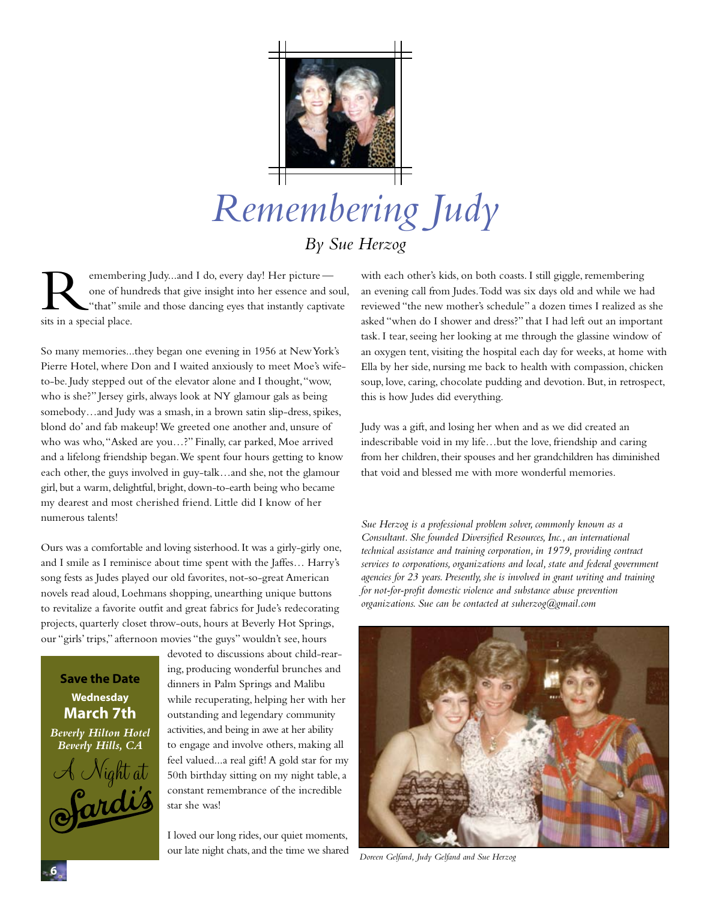

## *Remembering Judy By Sue Herzog*

emembering Judy...and I do, every day! Her picture one of hundreds that give insight into her essence and soul, "that" smile and those dancing eyes that instantly captivate sits in a special place.

So many memories...they began one evening in 1956 at New York's Pierre Hotel, where Don and I waited anxiously to meet Moe's wifeto-be. Judy stepped out of the elevator alone and I thought, "wow, who is she?" Jersey girls, always look at NY glamour gals as being somebody…and Judy was a smash, in a brown satin slip-dress, spikes, blond do' and fab makeup! We greeted one another and, unsure of who was who, "Asked are you…?" Finally, car parked, Moe arrived and a lifelong friendship began. We spent four hours getting to know each other, the guys involved in guy-talk…and she, not the glamour girl, but a warm, delightful, bright, down-to-earth being who became my dearest and most cherished friend. Little did I know of her numerous talents!

Ours was a comfortable and loving sisterhood. It was a girly-girly one, and I smile as I reminisce about time spent with the Jaffes… Harry's song fests as Judes played our old favorites, not-so-great American novels read aloud, Loehmans shopping, unearthing unique buttons to revitalize a favorite outfit and great fabrics for Jude's redecorating projects, quarterly closet throw-outs, hours at Beverly Hot Springs, our "girls' trips," afternoon movies "the guys" wouldn't see, hours

#### **Save the Date Wednesday March 7th**

*Beverly Hilton Hotel Beverly Hills, CA* A Night at devoted to discussions about child-rearing, producing wonderful brunches and dinners in Palm Springs and Malibu while recuperating, helping her with her outstanding and legendary community activities, and being in awe at her ability to engage and involve others, making all feel valued...a real gift! A gold star for my 50th birthday sitting on my night table, a constant remembrance of the incredible star she was!

I loved our long rides, our quiet moments, our late night chats, and the time we shared

with each other's kids, on both coasts. I still giggle, remembering an evening call from Judes. Todd was six days old and while we had reviewed "the new mother's schedule" a dozen times I realized as she asked "when do I shower and dress?" that I had left out an important task. I tear, seeing her looking at me through the glassine window of an oxygen tent, visiting the hospital each day for weeks, at home with Ella by her side, nursing me back to health with compassion, chicken soup, love, caring, chocolate pudding and devotion. But, in retrospect, this is how Judes did everything.

Judy was a gift, and losing her when and as we did created an indescribable void in my life…but the love, friendship and caring from her children, their spouses and her grandchildren has diminished that void and blessed me with more wonderful memories.

*Sue Herzog is a professional problem solver, commonly known as a Consultant. She founded Diversified Resources, Inc., an international technical assistance and training corporation, in 1979, providing contract services to corporations,organizations and local, state and federal government agencies for 23 years. Presently, she is involved in grant writing and training for not-for-profit domestic violence and substance abuse prevention organizations. Sue can be contacted at suherzog@gmail.com*



*Doreen Gelfand, Judy Gelfand and Sue Herzog*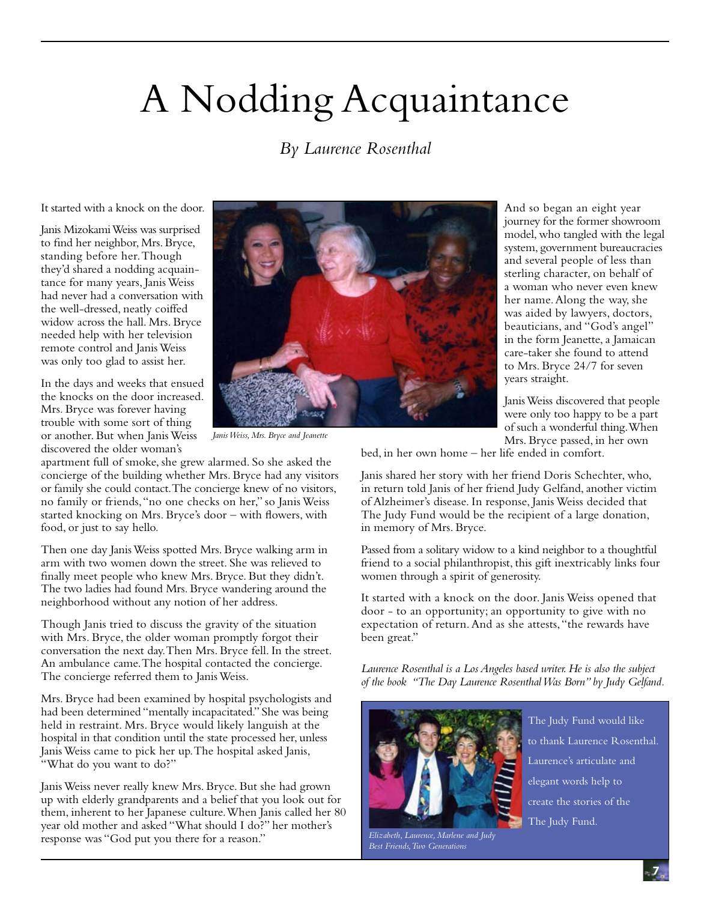## A Nodding Acquaintance

#### *By Laurence Rosenthal*

It started with a knock on the door.

Janis Mizokami Weiss was surprised to find her neighbor, Mrs. Bryce, standing before her. Though they'd shared a nodding acquaintance for many years, Janis Weiss had never had a conversation with the well-dressed, neatly coiffed widow across the hall. Mrs. Bryce needed help with her television remote control and Janis Weiss was only too glad to assist her.

In the days and weeks that ensued the knocks on the door increased. Mrs. Bryce was forever having trouble with some sort of thing or another. But when Janis Weiss discovered the older woman's



*JanisWeiss, Mrs. Bryce and Jeanette*

apartment full of smoke, she grew alarmed. So she asked the concierge of the building whether Mrs. Bryce had any visitors or family she could contact. The concierge knew of no visitors, no family or friends, "no one checks on her," so Janis Weiss started knocking on Mrs. Bryce's door – with flowers, with food, or just to say hello.

Then one day Janis Weiss spotted Mrs. Bryce walking arm in arm with two women down the street. She was relieved to finally meet people who knew Mrs. Bryce. But they didn't. The two ladies had found Mrs. Bryce wandering around the neighborhood without any notion of her address.

Though Janis tried to discuss the gravity of the situation with Mrs. Bryce, the older woman promptly forgot their conversation the next day. Then Mrs. Bryce fell. In the street. An ambulance came. The hospital contacted the concierge. The concierge referred them to Janis Weiss.

Mrs. Bryce had been examined by hospital psychologists and had been determined "mentally incapacitated." She was being held in restraint. Mrs. Bryce would likely languish at the hospital in that condition until the state processed her, unless Janis Weiss came to pick her up. The hospital asked Janis, "What do you want to do?"

Janis Weiss never really knew Mrs. Bryce. But she had grown up with elderly grandparents and a belief that you look out for them, inherent to her Japanese culture. When Janis called her 80 year old mother and asked "What should I do?" her mother's response was "God put you there for a reason."

And so began an eight year journey for the former showroom model, who tangled with the legal system, government bureaucracies and several people of less than sterling character, on behalf of a woman who never even knew her name. Along the way, she was aided by lawyers, doctors, beauticians, and "God's angel" in the form Jeanette, a Jamaican care-taker she found to attend to Mrs. Bryce 24/7 for seven years straight.

Janis Weiss discovered that people were only too happy to be a part of such a wonderful thing. When Mrs. Bryce passed, in her own

bed, in her own home – her life ended in comfort.

Janis shared her story with her friend Doris Schechter, who, in return told Janis of her friend Judy Gelfand, another victim of Alzheimer's disease. In response, Janis Weiss decided that The Judy Fund would be the recipient of a large donation, in memory of Mrs. Bryce.

Passed from a solitary widow to a kind neighbor to a thoughtful friend to a social philanthropist, this gift inextricably links four women through a spirit of generosity.

It started with a knock on the door. Janis Weiss opened that door - to an opportunity; an opportunity to give with no expectation of return. And as she attests, "the rewards have been great."

*Laurence Rosenthal is a LosAngeles based writer.He is also the subject of the book "The Day Laurence RosenthalWas Born" by Judy Gelfand.*



*Elizabeth, Laurence, Marlene and Judy Best Friends,Two Generations*

The Judy Fund would like to thank Laurence Rosenthal. Laurence's articulate and elegant words help to create the stories of the The Judy Fund.